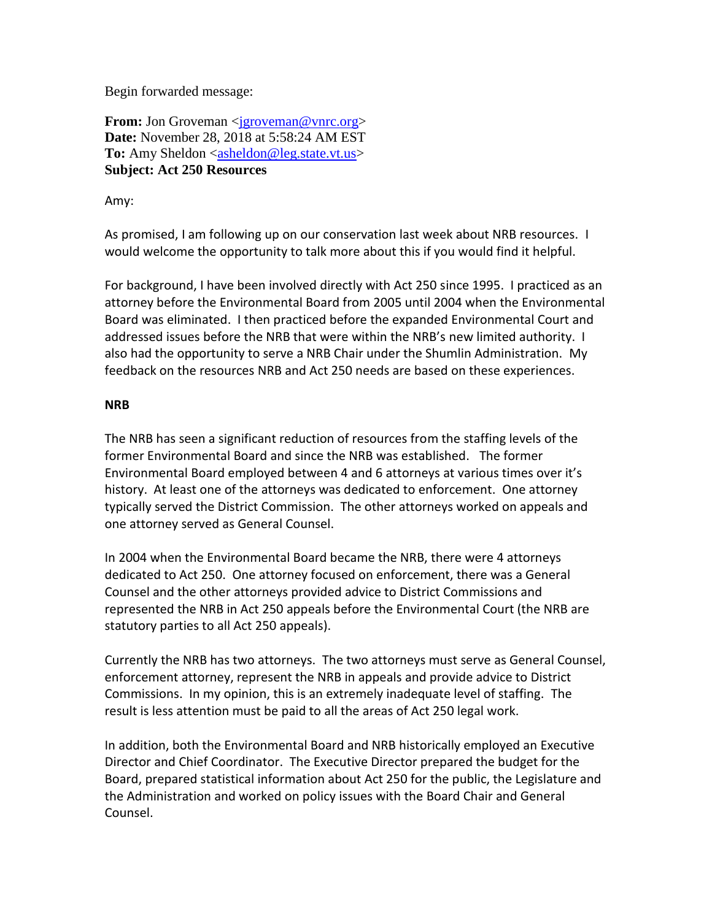Begin forwarded message:

**From:** Jon Groveman <**jgroveman@vnrc.org> Date:** November 28, 2018 at 5:58:24 AM EST To: Amy Sheldon [<asheldon@leg.state.vt.us>](mailto:asheldon@leg.state.vt.us) **Subject: Act 250 Resources**

Amy:

As promised, I am following up on our conservation last week about NRB resources. I would welcome the opportunity to talk more about this if you would find it helpful.

For background, I have been involved directly with Act 250 since 1995. I practiced as an attorney before the Environmental Board from 2005 until 2004 when the Environmental Board was eliminated. I then practiced before the expanded Environmental Court and addressed issues before the NRB that were within the NRB's new limited authority. I also had the opportunity to serve a NRB Chair under the Shumlin Administration. My feedback on the resources NRB and Act 250 needs are based on these experiences.

## **NRB**

The NRB has seen a significant reduction of resources from the staffing levels of the former Environmental Board and since the NRB was established. The former Environmental Board employed between 4 and 6 attorneys at various times over it's history. At least one of the attorneys was dedicated to enforcement. One attorney typically served the District Commission. The other attorneys worked on appeals and one attorney served as General Counsel.

In 2004 when the Environmental Board became the NRB, there were 4 attorneys dedicated to Act 250. One attorney focused on enforcement, there was a General Counsel and the other attorneys provided advice to District Commissions and represented the NRB in Act 250 appeals before the Environmental Court (the NRB are statutory parties to all Act 250 appeals).

Currently the NRB has two attorneys. The two attorneys must serve as General Counsel, enforcement attorney, represent the NRB in appeals and provide advice to District Commissions. In my opinion, this is an extremely inadequate level of staffing. The result is less attention must be paid to all the areas of Act 250 legal work.

In addition, both the Environmental Board and NRB historically employed an Executive Director and Chief Coordinator. The Executive Director prepared the budget for the Board, prepared statistical information about Act 250 for the public, the Legislature and the Administration and worked on policy issues with the Board Chair and General Counsel.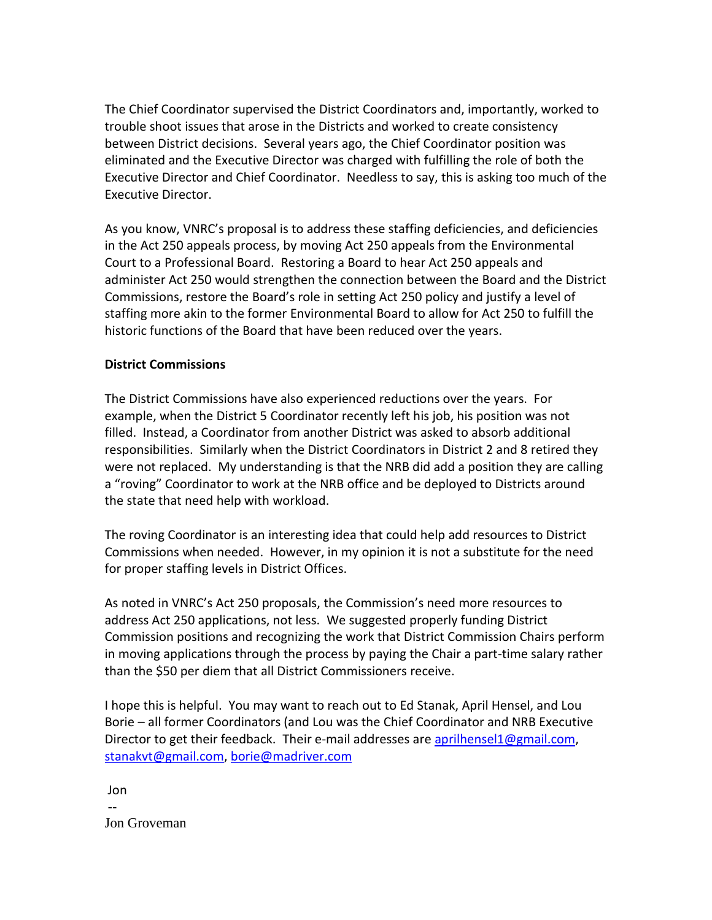The Chief Coordinator supervised the District Coordinators and, importantly, worked to trouble shoot issues that arose in the Districts and worked to create consistency between District decisions. Several years ago, the Chief Coordinator position was eliminated and the Executive Director was charged with fulfilling the role of both the Executive Director and Chief Coordinator. Needless to say, this is asking too much of the Executive Director.

As you know, VNRC's proposal is to address these staffing deficiencies, and deficiencies in the Act 250 appeals process, by moving Act 250 appeals from the Environmental Court to a Professional Board. Restoring a Board to hear Act 250 appeals and administer Act 250 would strengthen the connection between the Board and the District Commissions, restore the Board's role in setting Act 250 policy and justify a level of staffing more akin to the former Environmental Board to allow for Act 250 to fulfill the historic functions of the Board that have been reduced over the years.

## **District Commissions**

The District Commissions have also experienced reductions over the years. For example, when the District 5 Coordinator recently left his job, his position was not filled. Instead, a Coordinator from another District was asked to absorb additional responsibilities. Similarly when the District Coordinators in District 2 and 8 retired they were not replaced. My understanding is that the NRB did add a position they are calling a "roving" Coordinator to work at the NRB office and be deployed to Districts around the state that need help with workload.

The roving Coordinator is an interesting idea that could help add resources to District Commissions when needed. However, in my opinion it is not a substitute for the need for proper staffing levels in District Offices.

As noted in VNRC's Act 250 proposals, the Commission's need more resources to address Act 250 applications, not less. We suggested properly funding District Commission positions and recognizing the work that District Commission Chairs perform in moving applications through the process by paying the Chair a part-time salary rather than the \$50 per diem that all District Commissioners receive.

I hope this is helpful. You may want to reach out to Ed Stanak, April Hensel, and Lou Borie – all former Coordinators (and Lou was the Chief Coordinator and NRB Executive Director to get their feedback. Their e-mail addresses are [aprilhensel1@gmail.com,](mailto:aprilhensel1@gmail.com) [stanakvt@gmail.com,](mailto:stanakvt@gmail.com) [borie@madriver.com](mailto:borie@madriver.com)

Jon -- Jon Groveman